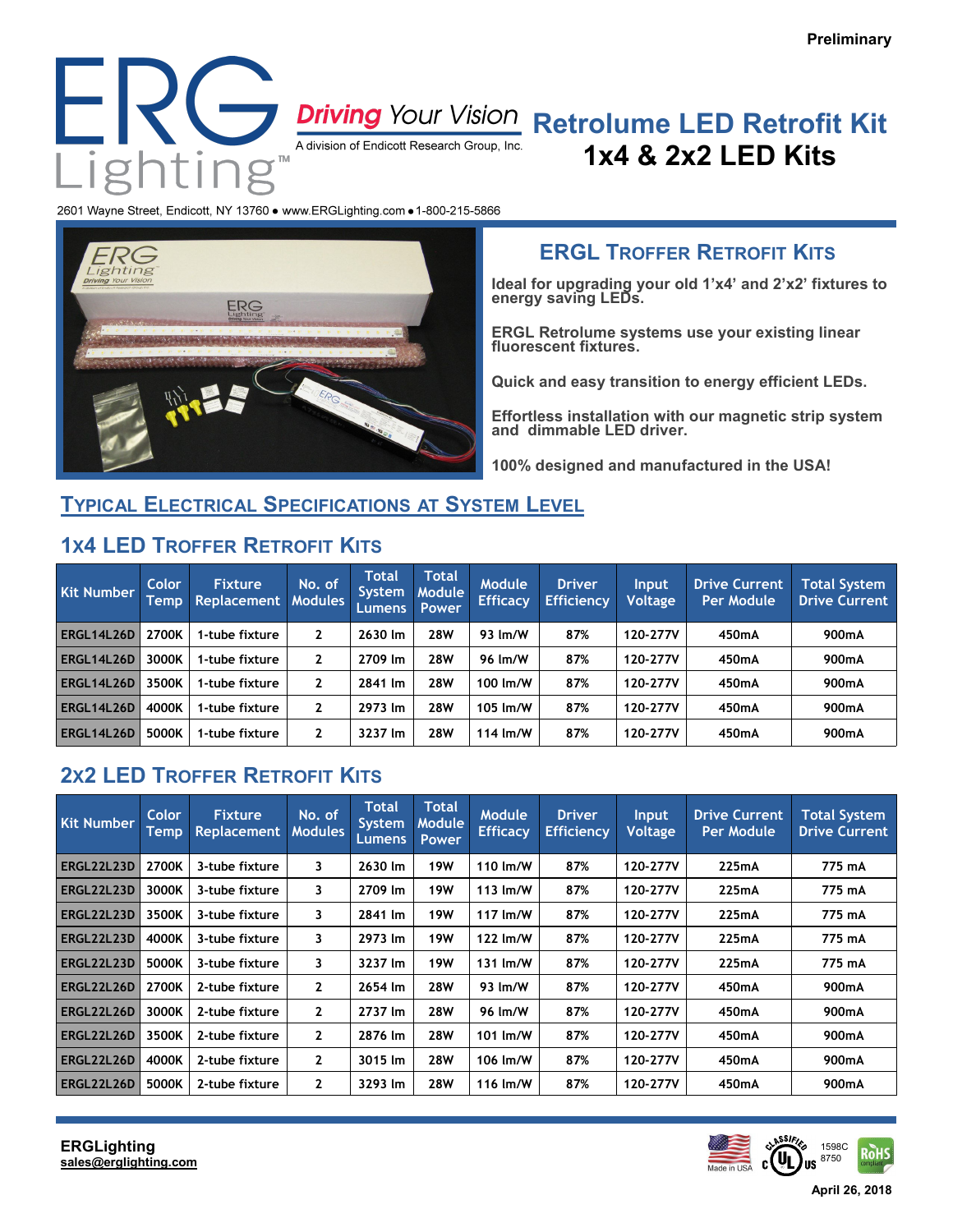

# **1x4 & 2x2 LED Kits**

2601 Wayne Street, Endicott, NY 13760 . www.ERGLighting.com . 1-800-215-5866



### **ERGL TROFFER RETROFIT KITS**

**Ideal for upgrading your old 1'x4' and 2'x2' fixtures to energy saving LEDs.**

**ERGL Retrolume systems use your existing linear fluorescent fixtures.**

**Quick and easy transition to energy efficient LEDs.**

**Effortless installation with our magnetic strip system and dimmable LED driver.**

**100% designed and manufactured in the USA!**

#### **TYPICAL ELECTRICAL SPECIFICATIONS AT SYSTEM LEVEL**

#### **1X4 LED TROFFER RETROFIT KITS**

| <b>Kit Number</b> | Color<br>Temp | <b>Fixture</b><br><b>Replacement</b> | No. of<br><b>Modules</b> | Total<br>System<br>Lumens | <b>Total</b><br><b>Module</b><br><b>Power</b> | <b>Module</b><br><b>Efficacy</b> | <b>Driver</b><br><b>Efficiency</b> | <b>Input</b><br><b>Voltage</b> | <b>Drive Current</b><br><b>Per Module</b> | <b>Total System</b><br><b>Drive Current</b> |
|-------------------|---------------|--------------------------------------|--------------------------|---------------------------|-----------------------------------------------|----------------------------------|------------------------------------|--------------------------------|-------------------------------------------|---------------------------------------------|
| ERGL14L26D        | 2700K         | 1-tube fixture                       | 2                        | 2630 lm                   | 28W                                           | 93 lm/W                          | 87%                                | 120-277V                       | 450mA                                     | 900mA                                       |
| ERGL14L26D        | 3000K         | 1-tube fixture                       | 2                        | 2709 lm                   | <b>28W</b>                                    | 96 lm/W                          | 87%                                | 120-277V                       | 450mA                                     | 900mA                                       |
| ERGL14L26D        | 3500K         | 1-tube fixture                       | 2                        | 2841 lm                   | 28W                                           | 100 lm/W                         | 87%                                | 120-277V                       | 450mA                                     | 900mA                                       |
| ERGL14L26D        | 4000K         | 1-tube fixture                       | 2                        | 2973 lm                   | 28W                                           | 105 lm/W                         | 87%                                | 120-277V                       | 450mA                                     | 900mA                                       |
| ERGL14L26D        | 5000K         | 1-tube fixture                       | 2                        | 3237 lm                   | 28W                                           | 114 $\text{Im}/\text{W}$         | 87%                                | 120-277V                       | 450mA                                     | 900mA                                       |

## **2X2 LED TROFFER RETROFIT KITS**

| <b>Kit Number</b> | Color<br>Temp | <b>Fixture</b><br><b>Replacement</b> | No. of<br><b>Modules</b> | <b>Total</b><br>System,<br><b>Lumens</b> | <b>Total</b><br><b>Module</b><br><b>Power</b> | Module<br><b>Efficacy</b> | <b>Driver</b><br><b>Efficiency</b> | <b>Input</b><br><b>Voltage</b> | <b>Drive Current</b><br><b>Per Module</b> | <b>Total System</b><br><b>Drive Current</b> |
|-------------------|---------------|--------------------------------------|--------------------------|------------------------------------------|-----------------------------------------------|---------------------------|------------------------------------|--------------------------------|-------------------------------------------|---------------------------------------------|
| ERGL22L23D        | 2700K         | 3-tube fixture                       | 3                        | 2630 lm                                  | <b>19W</b>                                    | 110 $\text{Im}/\text{W}$  | 87%                                | 120-277V                       | 225mA                                     | 775 mA                                      |
| ERGL22L23D        | 3000K         | 3-tube fixture                       | 3                        | 2709 lm                                  | <b>19W</b>                                    | 113 $Im/W$                | 87%                                | 120-277V                       | 225mA                                     | 775 mA                                      |
| ERGL22L23D        | 3500K         | 3-tube fixture                       | 3                        | 2841 lm                                  | <b>19W</b>                                    | 117 lm/W                  | 87%                                | 120-277V                       | 225mA                                     | 775 mA                                      |
| ERGL22L23D        | 4000K         | 3-tube fixture                       | 3                        | 2973 lm                                  | <b>19W</b>                                    | 122 lm/W                  | 87%                                | 120-277V                       | 225mA                                     | 775 mA                                      |
| ERGL22L23D        | 5000K         | 3-tube fixture                       | 3                        | 3237 lm                                  | <b>19W</b>                                    | 131 $\text{Im}/\text{W}$  | 87%                                | 120-277V                       | 225mA                                     | 775 mA                                      |
| ERGL22L26D        | 2700K         | 2-tube fixture                       | $\mathbf{2}$             | 2654 lm                                  | <b>28W</b>                                    | 93 lm/W                   | 87%                                | 120-277V                       | 450mA                                     | 900mA                                       |
| ERGL22L26D        | 3000K         | 2-tube fixture                       | $\mathbf{2}$             | 2737 lm                                  | <b>28W</b>                                    | 96 lm/W                   | 87%                                | 120-277V                       | 450mA                                     | 900mA                                       |
| ERGL22L26D        | 3500K         | 2-tube fixture                       | $\mathbf{2}$             | 2876 lm                                  | <b>28W</b>                                    | 101 lm/W                  | 87%                                | 120-277V                       | 450mA                                     | 900mA                                       |
| ERGL22L26D        | 4000K         | 2-tube fixture                       | $\mathbf{2}$             | 3015 lm                                  | <b>28W</b>                                    | 106 lm/W                  | 87%                                | 120-277V                       | 450mA                                     | 900mA                                       |
| ERGL22L26D        | 5000K         | 2-tube fixture                       | $\mathbf{2}$             | 3293 lm                                  | <b>28W</b>                                    | 116 lm/W                  | 87%                                | 120-277V                       | 450mA                                     | 900mA                                       |